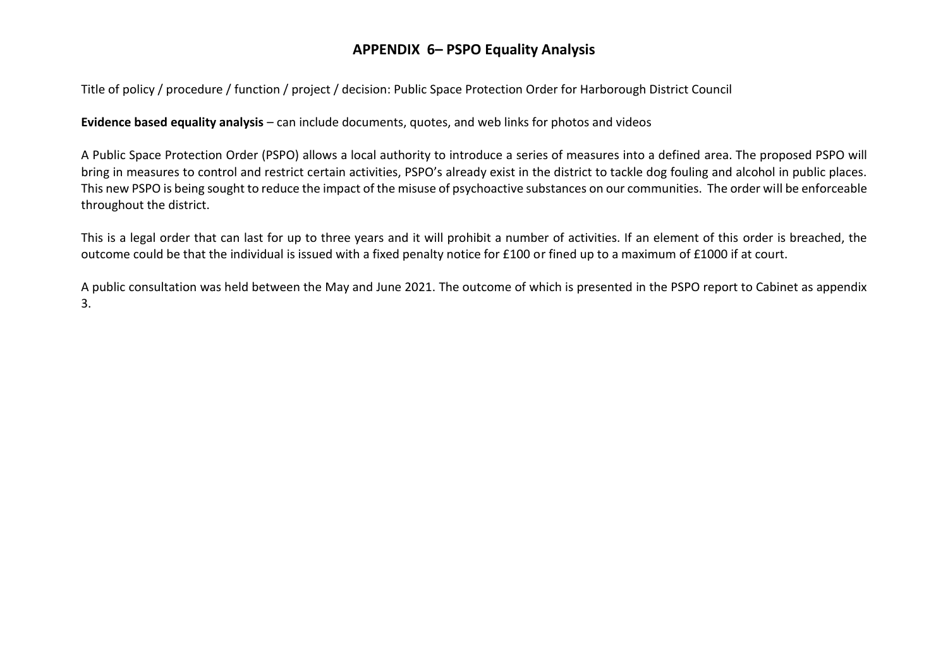Title of policy / procedure / function / project / decision: Public Space Protection Order for Harborough District Council

**Evidence based equality analysis** – can include documents, quotes, and web links for photos and videos

A Public Space Protection Order (PSPO) allows a local authority to introduce a series of measures into a defined area. The proposed PSPO will bring in measures to control and restrict certain activities, PSPO's already exist in the district to tackle dog fouling and alcohol in public places. This new PSPO is being sought to reduce the impact of the misuse of psychoactive substances on our communities. The order will be enforceable throughout the district.

This is a legal order that can last for up to three years and it will prohibit a number of activities. If an element of this order is breached, the outcome could be that the individual is issued with a fixed penalty notice for £100 or fined up to a maximum of £1000 if at court.

A public consultation was held between the May and June 2021. The outcome of which is presented in the PSPO report to Cabinet as appendix 3.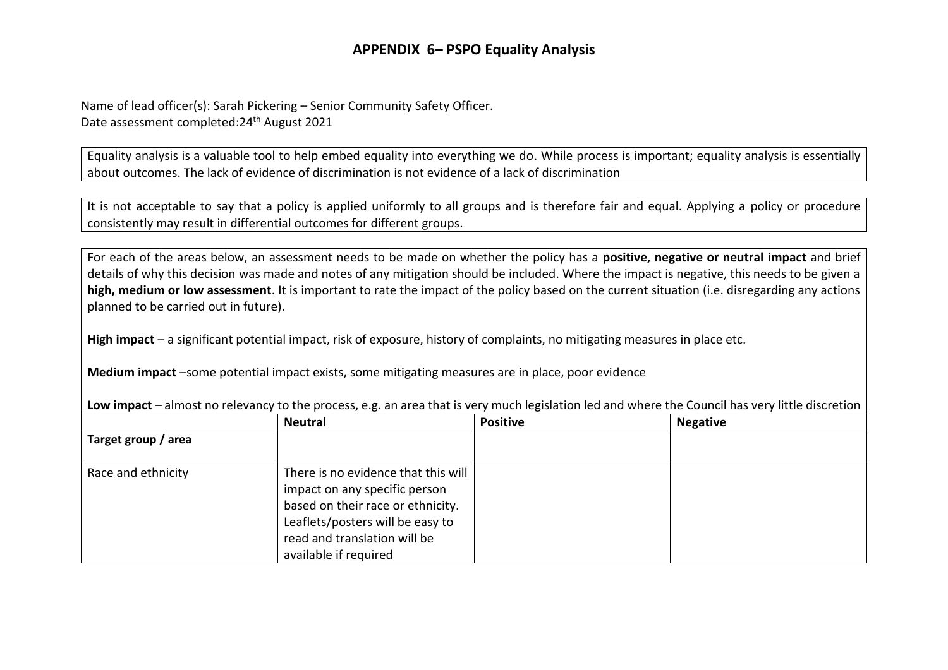Name of lead officer(s): Sarah Pickering – Senior Community Safety Officer. Date assessment completed:24th August 2021

Equality analysis is a valuable tool to help embed equality into everything we do. While process is important; equality analysis is essentially about outcomes. The lack of evidence of discrimination is not evidence of a lack of discrimination

It is not acceptable to say that a policy is applied uniformly to all groups and is therefore fair and equal. Applying a policy or procedure consistently may result in differential outcomes for different groups.

For each of the areas below, an assessment needs to be made on whether the policy has a **positive, negative or neutral impact** and brief details of why this decision was made and notes of any mitigation should be included. Where the impact is negative, this needs to be given a **high, medium or low assessment**. It is important to rate the impact of the policy based on the current situation (i.e. disregarding any actions planned to be carried out in future).

**High impact** – a significant potential impact, risk of exposure, history of complaints, no mitigating measures in place etc.

**Medium impact** –some potential impact exists, some mitigating measures are in place, poor evidence

|                     | <b>Neutral</b>                                                                                                                                                                                         | <b>Positive</b> | <b>Negative</b> |
|---------------------|--------------------------------------------------------------------------------------------------------------------------------------------------------------------------------------------------------|-----------------|-----------------|
| Target group / area |                                                                                                                                                                                                        |                 |                 |
| Race and ethnicity  | There is no evidence that this will<br>impact on any specific person<br>based on their race or ethnicity.<br>Leaflets/posters will be easy to<br>read and translation will be<br>available if required |                 |                 |

**Low impact** – almost no relevancy to the process, e.g. an area that is very much legislation led and where the Council has very little discretion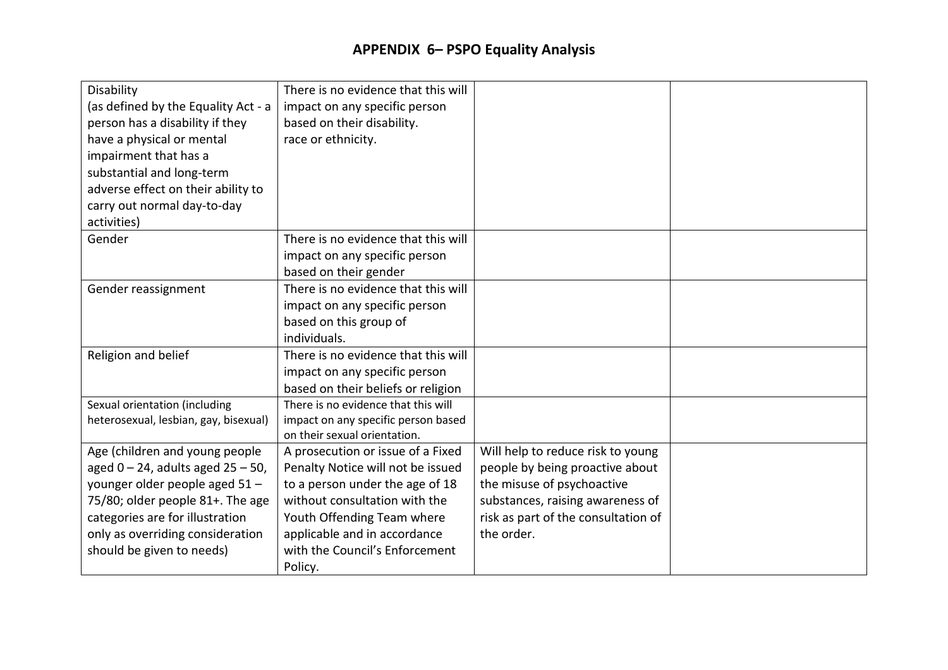| Disability<br>(as defined by the Equality Act - a<br>person has a disability if they<br>have a physical or mental<br>impairment that has a<br>substantial and long-term<br>adverse effect on their ability to<br>carry out normal day-to-day<br>activities) | There is no evidence that this will<br>impact on any specific person<br>based on their disability.<br>race or ethnicity.                                                                                                                              |                                                                                                                                                                                             |  |
|-------------------------------------------------------------------------------------------------------------------------------------------------------------------------------------------------------------------------------------------------------------|-------------------------------------------------------------------------------------------------------------------------------------------------------------------------------------------------------------------------------------------------------|---------------------------------------------------------------------------------------------------------------------------------------------------------------------------------------------|--|
| Gender                                                                                                                                                                                                                                                      | There is no evidence that this will<br>impact on any specific person<br>based on their gender                                                                                                                                                         |                                                                                                                                                                                             |  |
| Gender reassignment                                                                                                                                                                                                                                         | There is no evidence that this will<br>impact on any specific person<br>based on this group of<br>individuals.                                                                                                                                        |                                                                                                                                                                                             |  |
| Religion and belief                                                                                                                                                                                                                                         | There is no evidence that this will<br>impact on any specific person<br>based on their beliefs or religion                                                                                                                                            |                                                                                                                                                                                             |  |
| Sexual orientation (including<br>heterosexual, lesbian, gay, bisexual)                                                                                                                                                                                      | There is no evidence that this will<br>impact on any specific person based<br>on their sexual orientation.                                                                                                                                            |                                                                                                                                                                                             |  |
| Age (children and young people<br>aged $0 - 24$ , adults aged $25 - 50$ ,<br>younger older people aged 51 -<br>75/80; older people 81+. The age<br>categories are for illustration<br>only as overriding consideration<br>should be given to needs)         | A prosecution or issue of a Fixed<br>Penalty Notice will not be issued<br>to a person under the age of 18<br>without consultation with the<br>Youth Offending Team where<br>applicable and in accordance<br>with the Council's Enforcement<br>Policy. | Will help to reduce risk to young<br>people by being proactive about<br>the misuse of psychoactive<br>substances, raising awareness of<br>risk as part of the consultation of<br>the order. |  |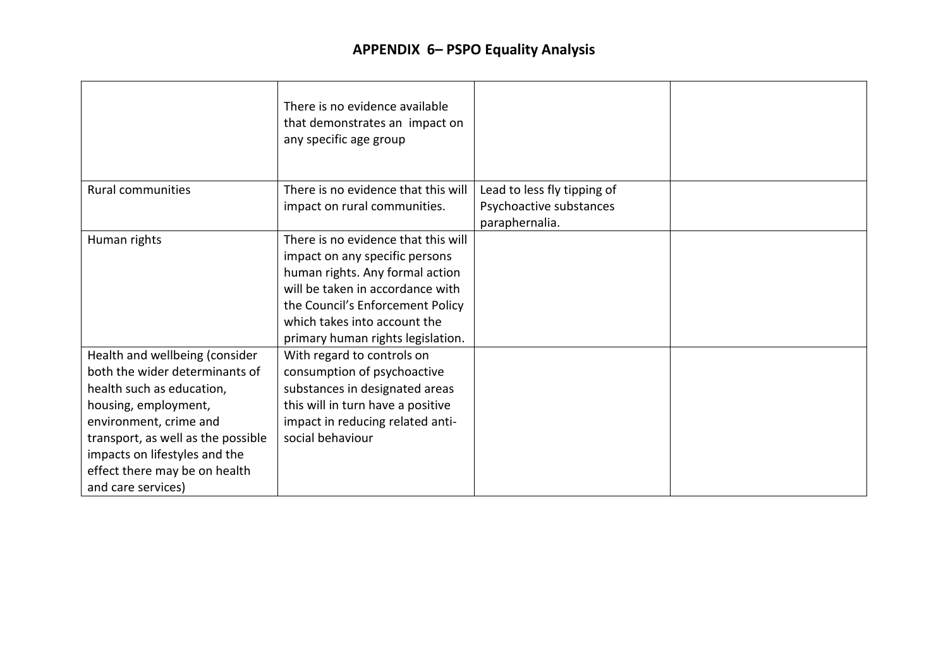|                                    | There is no evidence available<br>that demonstrates an impact on<br>any specific age group |                             |  |
|------------------------------------|--------------------------------------------------------------------------------------------|-----------------------------|--|
| <b>Rural communities</b>           | There is no evidence that this will                                                        | Lead to less fly tipping of |  |
|                                    | impact on rural communities.                                                               | Psychoactive substances     |  |
|                                    |                                                                                            | paraphernalia.              |  |
| Human rights                       | There is no evidence that this will                                                        |                             |  |
|                                    | impact on any specific persons                                                             |                             |  |
|                                    | human rights. Any formal action                                                            |                             |  |
|                                    | will be taken in accordance with                                                           |                             |  |
|                                    | the Council's Enforcement Policy                                                           |                             |  |
|                                    | which takes into account the                                                               |                             |  |
|                                    | primary human rights legislation.                                                          |                             |  |
| Health and wellbeing (consider     | With regard to controls on                                                                 |                             |  |
| both the wider determinants of     | consumption of psychoactive                                                                |                             |  |
| health such as education,          | substances in designated areas                                                             |                             |  |
| housing, employment,               | this will in turn have a positive                                                          |                             |  |
| environment, crime and             | impact in reducing related anti-                                                           |                             |  |
| transport, as well as the possible | social behaviour                                                                           |                             |  |
| impacts on lifestyles and the      |                                                                                            |                             |  |
| effect there may be on health      |                                                                                            |                             |  |
| and care services)                 |                                                                                            |                             |  |